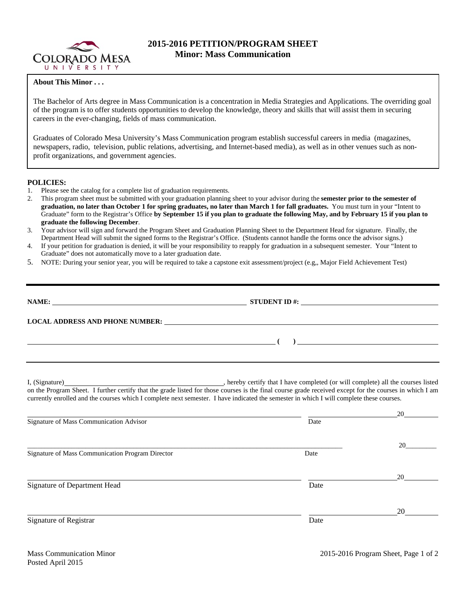

## **2015-2016 PETITION/PROGRAM SHEET Minor: Mass Communication**

## **About This Minor . . .**

The Bachelor of Arts degree in Mass Communication is a concentration in Media Strategies and Applications. The overriding goal of the program is to offer students opportunities to develop the knowledge, theory and skills that will assist them in securing careers in the ever-changing, fields of mass communication.

Graduates of Colorado Mesa University's Mass Communication program establish successful careers in media (magazines, newspapers, radio, television, public relations, advertising, and Internet-based media), as well as in other venues such as nonprofit organizations, and government agencies.

## **POLICIES:**

- 1. Please see the catalog for a complete list of graduation requirements.
- 2. This program sheet must be submitted with your graduation planning sheet to your advisor during the **semester prior to the semester of graduation, no later than October 1 for spring graduates, no later than March 1 for fall graduates.** You must turn in your "Intent to Graduate" form to the Registrar's Office **by September 15 if you plan to graduate the following May, and by February 15 if you plan to graduate the following December**.
- 3. Your advisor will sign and forward the Program Sheet and Graduation Planning Sheet to the Department Head for signature. Finally, the Department Head will submit the signed forms to the Registrar's Office. (Students cannot handle the forms once the advisor signs.)
- 4. If your petition for graduation is denied, it will be your responsibility to reapply for graduation in a subsequent semester. Your "Intent to Graduate" does not automatically move to a later graduation date.
- 5. NOTE: During your senior year, you will be required to take a capstone exit assessment/project (e.g,, Major Field Achievement Test)

| NAME:<br><u> 1989 - Johann John Stein, fransk politik (f. 1989)</u>                                                                                                                                                            | STUDENT ID $\#$ : |
|--------------------------------------------------------------------------------------------------------------------------------------------------------------------------------------------------------------------------------|-------------------|
| LOCAL ADDRESS AND PHONE NUMBER: The contract of the contract of the contract of the contract of the contract of the contract of the contract of the contract of the contract of the contract of the contract of the contract o |                   |
|                                                                                                                                                                                                                                |                   |

I, (Signature) **Source 2008** (Signature) **, hereby certify that I have completed** (or will complete) all the courses listed on the Program Sheet. I further certify that the grade listed for those courses is the final course grade received except for the courses in which I am currently enrolled and the courses which I complete next semester. I have indicated the semester in which I will complete these courses.

|                                                  |      | 20 |
|--------------------------------------------------|------|----|
| Signature of Mass Communication Advisor          | Date |    |
|                                                  |      |    |
|                                                  |      | 20 |
| Signature of Mass Communication Program Director | Date |    |
|                                                  |      | 20 |
| Signature of Department Head                     | Date |    |
|                                                  |      | 20 |
| Signature of Registrar                           | Date |    |